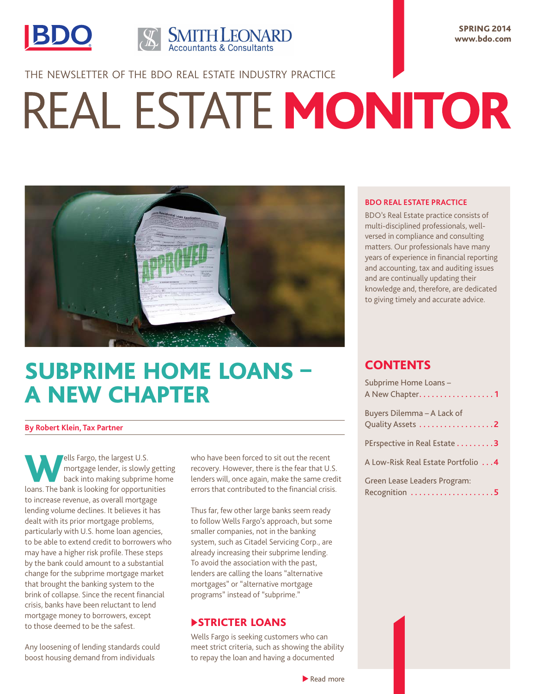



SPRING 2014 www.bdo.com

THE NEWSLETTER OF THE BDO REAL ESTATE INDUSTRY PRACTICE

# REAL ESTATE MONITOR



# SUBPRIME HOME LOANS – A NEW CHAPTER

#### **By Robert Klein, Tax Partner**

Wells Fargo, the largest U.S.<br>
mortgage lender, is slowly<br>
back into making subprime<br>
learnt The back is looking for opportune mortgage lender, is slowly getting back into making subprime home loans. The bank is looking for opportunities to increase revenue, as overall mortgage lending volume declines. It believes it has dealt with its prior mortgage problems, particularly with U.S. home loan agencies, to be able to extend credit to borrowers who may have a higher risk profile. These steps by the bank could amount to a substantial change for the subprime mortgage market that brought the banking system to the brink of collapse. Since the recent financial crisis, banks have been reluctant to lend mortgage money to borrowers, except to those deemed to be the safest.

Any loosening of lending standards could boost housing demand from individuals

who have been forced to sit out the recent recovery. However, there is the fear that U.S. lenders will, once again, make the same credit errors that contributed to the financial crisis.

Thus far, few other large banks seem ready to follow Wells Fargo's approach, but some smaller companies, not in the banking system, such as Citadel Servicing Corp., are already increasing their subprime lending. To avoid the association with the past, lenders are calling the loans "alternative mortgages" or "alternative mortgage programs" instead of "subprime."

## **STRICTER LOANS**

Wells Fargo is seeking customers who can meet strict criteria, such as showing the ability to repay the loan and having a documented

#### **BDO REAL ESTATE PRACTICE**

BDO's Real Estate practice consists of multi-disciplined professionals, wellversed in compliance and consulting matters. Our professionals have many years of experience in financial reporting and accounting, tax and auditing issues and are continually updating their knowledge and, therefore, are dedicated to giving timely and accurate advice.

# **CONTENTS**

| Subprime Home Loans -<br>A New Chapter1        |
|------------------------------------------------|
| Buyers Dilemma – A Lack of<br>Quality Assets 2 |
| PErspective in Real Estate 3                   |
| A Low-Risk Real Estate Portfolio  4            |
| Green Lease Leaders Program:<br>Recognition 5  |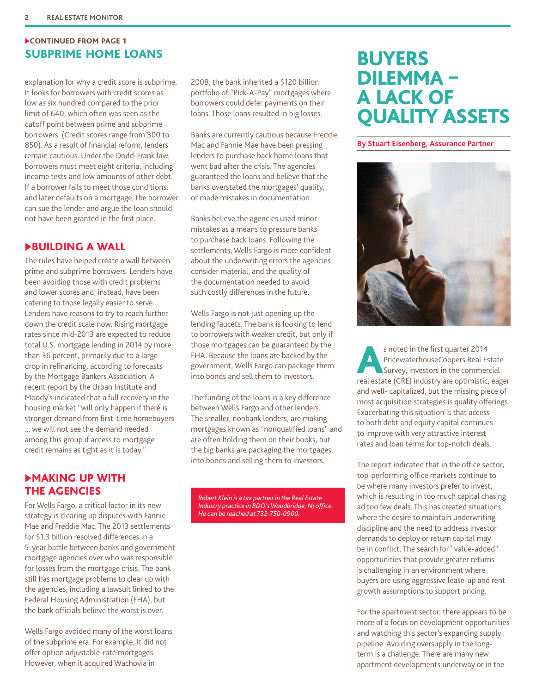# <span id="page-1-0"></span>CONTINUED FROM PAGE 1 SUBPRIME HOME LOANS **BUYERS**

explanation for why a credit score is subprime. It looks for borrowers with credit scores as low as six hundred compared to the prior limit of 640, which often was seen as the cutoff point between prime and subprime borrowers. (Credit scores range from 300 to 850). As a result of financial reform, lenders remain cautious. Under the Dodd-Frank law, borrowers must meet eight criteria, including income tests and low amounts of other debt. If a borrower fails to meet those conditions, and later defaults on a mortgage, the borrower can sue the lender and argue the loan should not have been granted in the first place.

## u BUILDING A WALL

The rules have helped create a wall between prime and subprime borrowers. Lenders have been avoiding those with credit problems and lower scores and, instead, have been catering to those legally easier to serve. Lenders have reasons to try to reach further down the credit scale now. Rising mortgage rates since mid-2013 are expected to reduce total U.S. mortgage lending in 2014 by more than 36 percent, primarily due to a large drop in refinancing, according to forecasts by the Mortgage Bankers Association. A recent report by the Urban Institute and Moody's indicated that a full recovery in the housing market "will only happen if there is stronger demand from first-time homebuyers ... we will not see the demand needed among this group if access to mortgage credit remains as tight as it is today."

## **MAKING UP WITH** THE AGENCIES

For Wells Fargo, a critical factor in its new strategy is clearing up disputes with Fannie Mae and Freddie Mac. The 2013 settlements for \$1.3 billion resolved differences in a 5-year battle between banks and government mortgage agencies over who was responsible for losses from the mortgage crisis. The bank still has mortgage problems to clear up with the agencies, including a lawsuit linked to the Federal Housing Administration (FHA), but the bank officials believe the worst is over.

Wells Fargo avoided many of the worst loans of the subprime era. For example, It did not offer option adjustable-rate mortgages. However, when it acquired Wachovia in

2008, the bank inherited a \$120 billion portfolio of "Pick-A-Pay" mortgages where borrowers could defer payments on their loans. Those loans resulted in big losses.

Banks are currently cautious because Freddie Mac and Fannie Mae have been pressing lenders to purchase back home loans that went bad after the crisis. The agencies guaranteed the loans and believe that the banks overstated the mortgages' quality, or made mistakes in documentation.

Banks believe the agencies used minor mistakes as a means to pressure banks to purchase back loans. Following the settlements, Wells Fargo is more confident about the underwriting errors the agencies consider material, and the quality of the documentation needed to avoid such costly differences in the future.

Wells Fargo is not just opening up the lending faucets. The bank is looking to lend to borrowers with weaker credit, but only if those mortgages can be guaranteed by the FHA. Because the loans are backed by the government, Wells Fargo can package them into bonds and sell them to investors.

The funding of the loans is a key difference between Wells Fargo and other lenders. The smaller, nonbank lenders, are making mortgages known as "nonqualified loans" and are often holding them on their books, but the big banks are packaging the mortgages into bonds and selling them to investors.

*Robert Klein is a tax partner in the Real Estate Industry practice in BDO's Woodbridge, NJ office. He can be reached at 732-750-0900.*

# DILEMMA – A LACK OF QUALITY ASSETS

#### **By Stuart Eisenberg, Assurance Partner**



s noted in the first quarter 2014<br>
PricewaterhouseCoopers Real Estate<br>
Survey, investors in the commercial<br>
Figure 2014 PricewaterhouseCoopers Real Estate real estate (CRE) industry are optimistic, eager and well- capitalized, but the missing piece of most acquisition strategies is quality offerings. Exacerbating this situation is that access to both debt and equity capital continues to improve with very attractive interest rates and loan terms for top-notch deals.

The report indicated that in the office sector, top-performing office markets continue to be where many investors prefer to invest, which is resulting in too much capital chasing ad too few deals. This has created situations where the desire to maintain underwriting discipline and the need to address investor demands to deploy or return capital may be in conflict. The search for "value-added" opportunities that provide greater returns is challenging in an environment where buyers are using aggressive lease-up and rent growth assumptions to support pricing.

For the apartment sector, there appears to be more of a focus on development opportunities and watching this sector's expanding supply pipeline. Avoiding oversupply in the longterm is a challenge. There are many new apartment developments underway or in the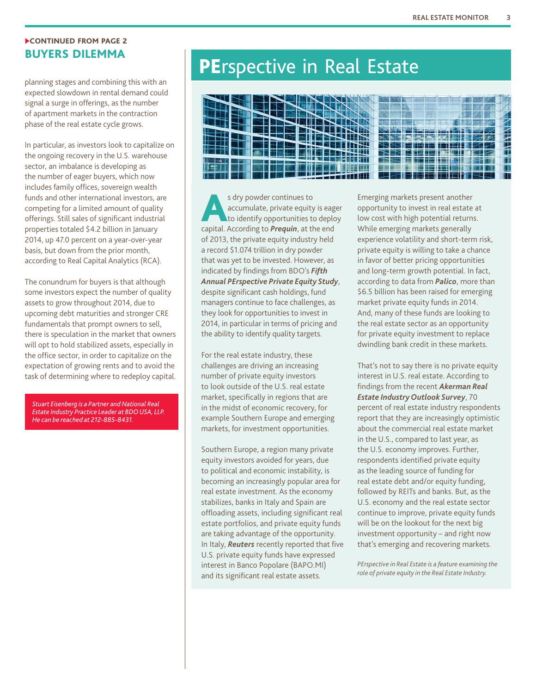#### <span id="page-2-0"></span>CONTINUED FROM PAGE 2 BUYERS DILEMMA

planning stages and combining this with an expected slowdown in rental demand could signal a surge in offerings, as the number of apartment markets in the contraction phase of the real estate cycle grows.

In particular, as investors look to capitalize on the ongoing recovery in the U.S. warehouse sector, an imbalance is developing as the number of eager buyers, which now includes family offices, sovereign wealth funds and other international investors, are competing for a limited amount of quality offerings. Still sales of significant industrial properties totaled \$4.2 billion in January 2014, up 47.0 percent on a year-over-year basis, but down from the prior month, according to Real Capital Analytics (RCA).

The conundrum for buyers is that although some investors expect the number of quality assets to grow throughout 2014, due to upcoming debt maturities and stronger CRE fundamentals that prompt owners to sell, there is speculation in the market that owners will opt to hold stabilized assets, especially in the office sector, in order to capitalize on the expectation of growing rents and to avoid the task of determining where to redeploy capital.

*Stuart Eisenberg is a Partner and National Real Estate Industry Practice Leader at BDO USA, LLP. He can be reached at 212-885-8431.*

# PErspective in Real Estate



s dry powder continues to accumulate, private equity is eager to identify opportunities to deploy capital. According to *Prequin*, at the end of 2013, the private equity industry held a record \$1.074 trillion in dry powder that was yet to be invested. However, as indicated by findings from BDO's *Fifth Annual PErspective Private Equity Study*, despite significant cash holdings, fund managers continue to face challenges, as they look for opportunities to invest in 2014, in particular in terms of pricing and the ability to identify quality targets.

For the real estate industry, these challenges are driving an increasing number of private equity investors to look outside of the U.S. real estate market, specifically in regions that are in the midst of economic recovery, for example Southern Europe and emerging markets, for investment opportunities.

Southern Europe, a region many private equity investors avoided for years, due to political and economic instability, is becoming an increasingly popular area for real estate investment. As the economy stabilizes, banks in Italy and Spain are offloading assets, including significant real estate portfolios, and private equity funds are taking advantage of the opportunity. In Italy, *Reuters* recently reported that five U.S. private equity funds have expressed interest in Banco Popolare (BAPO.MI) and its significant real estate assets.

Emerging markets present another opportunity to invest in real estate at low cost with high potential returns. While emerging markets generally experience volatility and short-term risk, private equity is willing to take a chance in favor of better pricing opportunities and long-term growth potential. In fact, according to data from *Palico*, more than \$6.5 billion has been raised for emerging market private equity funds in 2014. And, many of these funds are looking to the real estate sector as an opportunity for private equity investment to replace dwindling bank credit in these markets.

That's not to say there is no private equity interest in U.S. real estate. According to findings from the recent *Akerman Real Estate Industry Outlook Survey*, 70 percent of real estate industry respondents report that they are increasingly optimistic about the commercial real estate market in the U.S., compared to last year, as the U.S. economy improves. Further, respondents identified private equity as the leading source of funding for real estate debt and/or equity funding, followed by REITs and banks. But, as the U.S. economy and the real estate sector continue to improve, private equity funds will be on the lookout for the next big investment opportunity – and right now that's emerging and recovering markets.

*PErspective in Real Estate is a feature examining the role of private equity in the Real Estate Industry.*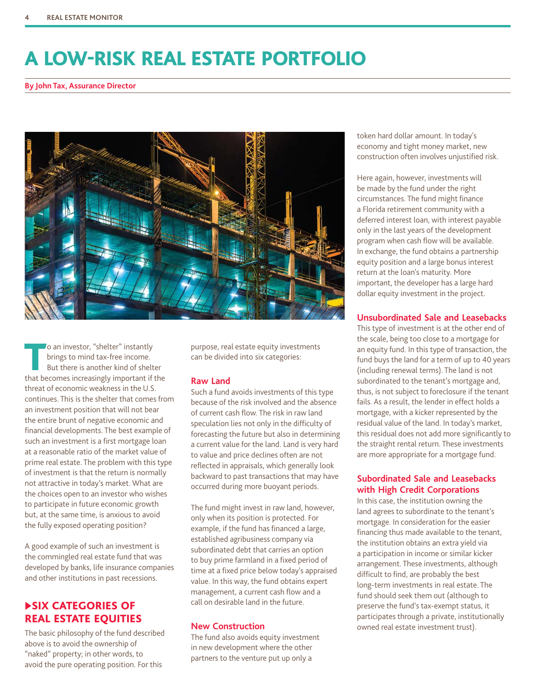# <span id="page-3-0"></span>A LOW-RISK REAL ESTATE PORTFOLIO

**By John Tax, Assurance Director**



To an investor, "shelter" instantly brings to mind tax-free income. But there is another kind of shelter that becomes increasingly important if the threat of economic weakness in the U.S. continues. This is the shelter that comes from an investment position that will not bear the entire brunt of negative economic and financial developments. The best example of such an investment is a first mortgage loan at a reasonable ratio of the market value of prime real estate. The problem with this type of investment is that the return is normally not attractive in today's market. What are the choices open to an investor who wishes to participate in future economic growth but, at the same time, is anxious to avoid the fully exposed operating position?

A good example of such an investment is the commingled real estate fund that was developed by banks, life insurance companies and other institutions in past recessions.

# u SIX CATEGORIES OF REAL ESTATE EQUITIES

The basic philosophy of the fund described above is to avoid the ownership of "naked" property; in other words, to avoid the pure operating position. For this

purpose, real estate equity investments can be divided into six categories:

#### **Raw Land**

Such a fund avoids investments of this type because of the risk involved and the absence of current cash flow. The risk in raw land speculation lies not only in the difficulty of forecasting the future but also in determining a current value for the land. Land is very hard to value and price declines often are not reflected in appraisals, which generally look backward to past transactions that may have occurred during more buoyant periods.

The fund might invest in raw land, however, only when its position is protected. For example, if the fund has financed a large, established agribusiness company via subordinated debt that carries an option to buy prime farmland in a fixed period of time at a fixed price below today's appraised value. In this way, the fund obtains expert management, a current cash flow and a call on desirable land in the future.

#### **New Construction**

The fund also avoids equity investment in new development where the other partners to the venture put up only a

token hard dollar amount. In today's economy and tight money market, new construction often involves unjustified risk.

Here again, however, investments will be made by the fund under the right circumstances. The fund might finance a Florida retirement community with a deferred interest loan, with interest payable only in the last years of the development program when cash flow will be available. In exchange, the fund obtains a partnership equity position and a large bonus interest return at the loan's maturity. More important, the developer has a large hard dollar equity investment in the project.

#### **Unsubordinated Sale and Leasebacks**

This type of investment is at the other end of the scale, being too close to a mortgage for an equity fund. In this type of transaction, the fund buys the land for a term of up to 40 years (including renewal terms). The land is not subordinated to the tenant's mortgage and, thus, is not subject to foreclosure if the tenant fails. As a result, the lender in effect holds a mortgage, with a kicker represented by the residual value of the land. In today's market, this residual does not add more significantly to the straight rental return. These investments are more appropriate for a mortgage fund.

#### **Subordinated Sale and Leasebacks with High Credit Corporations**

In this case, the institution owning the land agrees to subordinate to the tenant's mortgage. In consideration for the easier financing thus made available to the tenant, the institution obtains an extra yield via a participation in income or similar kicker arrangement. These investments, although difficult to find, are probably the best long-term investments in real estate. The fund should seek them out (although to preserve the fund's tax-exempt status, it participates through a private, institutionally owned real estate investment trust).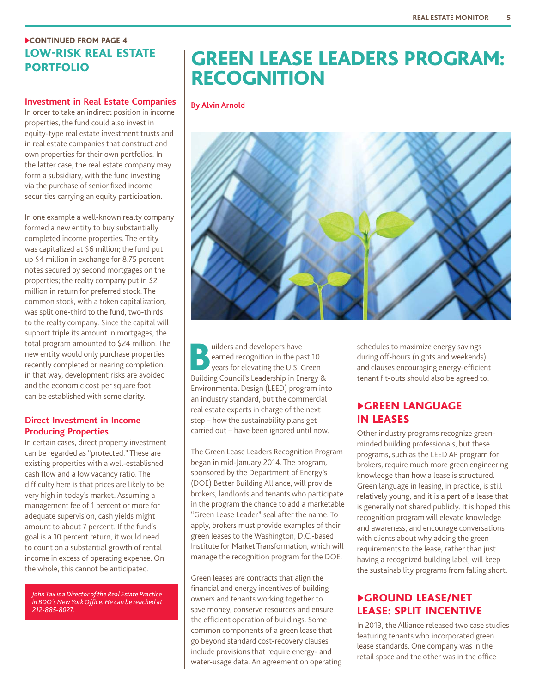# <span id="page-4-0"></span>**CONTINUED FROM PAGE 4** LOW-RISK REAL ESTATE PORTFOLIO

#### **Investment in Real Estate Companies**

In order to take an indirect position in income properties, the fund could also invest in equity-type real estate investment trusts and in real estate companies that construct and own properties for their own portfolios. In the latter case, the real estate company may form a subsidiary, with the fund investing via the purchase of senior fixed income securities carrying an equity participation.

In one example a well-known realty company formed a new entity to buy substantially completed income properties. The entity was capitalized at \$6 million; the fund put up \$4 million in exchange for 8.75 percent notes secured by second mortgages on the properties; the realty company put in \$2 million in return for preferred stock. The common stock, with a token capitalization, was split one-third to the fund, two-thirds to the realty company. Since the capital will support triple its amount in mortgages, the total program amounted to \$24 million. The new entity would only purchase properties recently completed or nearing completion; in that way, development risks are avoided and the economic cost per square foot can be established with some clarity.

#### **Direct Investment in Income Producing Properties**

In certain cases, direct property investment can be regarded as "protected." These are existing properties with a well-established cash flow and a low vacancy ratio. The difficulty here is that prices are likely to be very high in today's market. Assuming a management fee of 1 percent or more for adequate supervision, cash yields might amount to about 7 percent. If the fund's goal is a 10 percent return, it would need to count on a substantial growth of rental income in excess of operating expense. On the whole, this cannot be anticipated.

*John Tax is a Director of the Real Estate Practice in BDO's New York Office. He can be reached at 212-885-8027.*

# GREEN LEASE LEADERS PROGRAM: **RECOGNITION**

#### **By Alvin Arnold**



Builders and developers have<br>
earned recognition in the party vears for elevating the U.S. C<br>
Building Council's Loodership in En earned recognition in the past 10 years for elevating the U.S. Green Building Council's Leadership in Energy & Environmental Design (LEED) program into an industry standard, but the commercial real estate experts in charge of the next step – how the sustainability plans get carried out – have been ignored until now.

The Green Lease Leaders Recognition Program began in mid-January 2014. The program, sponsored by the Department of Energy's (DOE) Better Building Alliance, will provide brokers, landlords and tenants who participate in the program the chance to add a marketable "Green Lease Leader" seal after the name. To apply, brokers must provide examples of their green leases to the Washington, D.C.-based Institute for Market Transformation, which will manage the recognition program for the DOE.

Green leases are contracts that align the financial and energy incentives of building owners and tenants working together to save money, conserve resources and ensure the efficient operation of buildings. Some common components of a green lease that go beyond standard cost-recovery clauses include provisions that require energy- and water-usage data. An agreement on operating schedules to maximize energy savings during off-hours (nights and weekends) and clauses encouraging energy-efficient tenant fit-outs should also be agreed to.

## **EGREEN LANGUAGE** IN LEASES

Other industry programs recognize greenminded building professionals, but these programs, such as the LEED AP program for brokers, require much more green engineering knowledge than how a lease is structured. Green language in leasing, in practice, is still relatively young, and it is a part of a lease that is generally not shared publicly. It is hoped this recognition program will elevate knowledge and awareness, and encourage conversations with clients about why adding the green requirements to the lease, rather than just having a recognized building label, will keep the sustainability programs from falling short.

# **EGROUND LEASE/NET** LEASE: SPLIT INCENTIVE

In 2013, the Alliance released two case studies featuring tenants who incorporated green lease standards. One company was in the retail space and the other was in the office